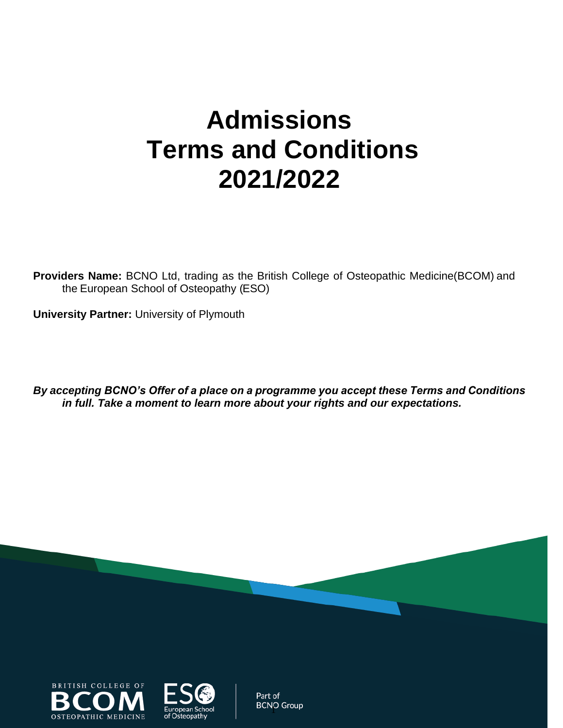# **Admissions Terms and Conditions 2021/2022**

**Providers Name:** BCNO Ltd, trading as the British College of Osteopathic Medicine(BCOM) and the European School of Osteopathy (ESO)

**University Partner:** University of Plymouth

*By accepting BCNO's Offer of a place on a programme you accept these Terms and Conditions in full. Take a moment to learn more about your rights and our expectations.*





Part of **BCNO Group**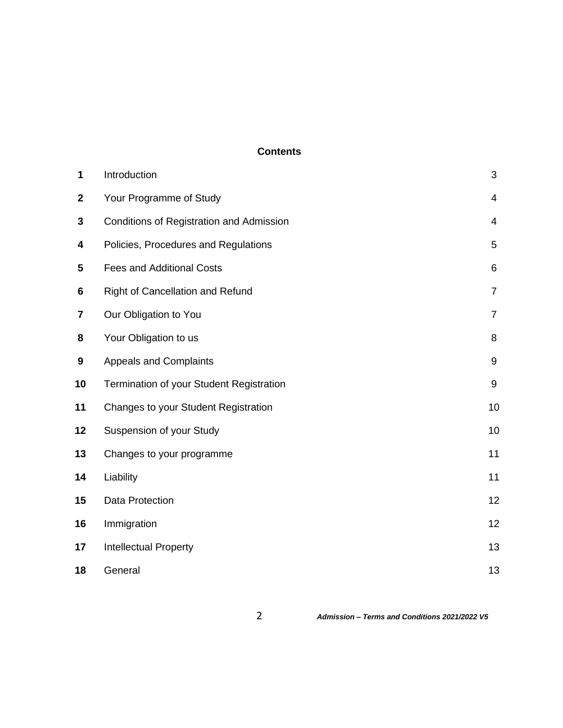#### **Contents**

| 1                | Introduction                                    | 3              |
|------------------|-------------------------------------------------|----------------|
| $\boldsymbol{2}$ | Your Programme of Study                         | $\overline{4}$ |
| 3                | <b>Conditions of Registration and Admission</b> | 4              |
| 4                | Policies, Procedures and Regulations            | 5              |
| 5                | <b>Fees and Additional Costs</b>                | $\,6$          |
| 6                | Right of Cancellation and Refund                | $\overline{7}$ |
| 7                | Our Obligation to You                           | $\overline{7}$ |
| 8                | Your Obligation to us                           | 8              |
| 9                | <b>Appeals and Complaints</b>                   | $9\,$          |
| 10               | Termination of your Student Registration        | 9              |
| 11               | Changes to your Student Registration            | 10             |
| 12               | Suspension of your Study                        | 10             |
| 13               | Changes to your programme                       | 11             |
| 14               | Liability                                       | 11             |
| 15               | Data Protection                                 | 12             |
| 16               | Immigration                                     | 12             |
| 17               | <b>Intellectual Property</b>                    | 13             |
| 18               | General                                         | 13             |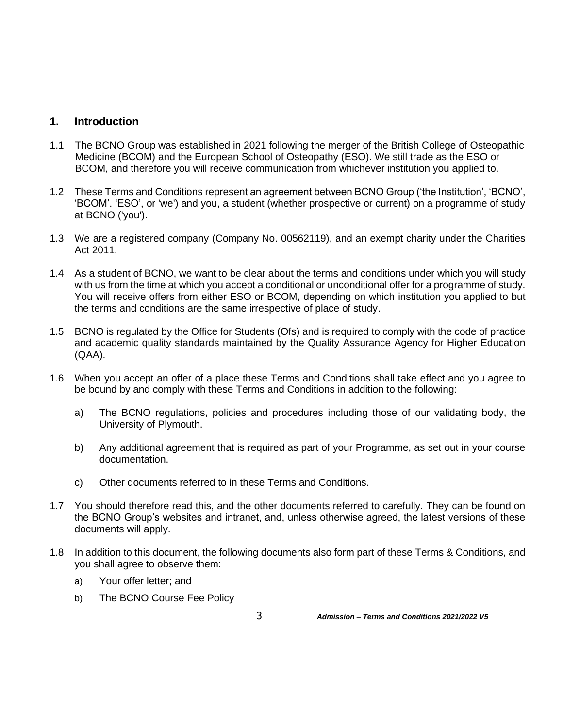## **1. Introduction**

- 1.1 The BCNO Group was established in 2021 following the merger of the British College of Osteopathic Medicine (BCOM) and the European School of Osteopathy (ESO). We still trade as the ESO or BCOM, and therefore you will receive communication from whichever institution you applied to.
- 1.2 These Terms and Conditions represent an agreement between BCNO Group ('the Institution', 'BCNO', 'BCOM'. 'ESO', or 'we') and you, a student (whether prospective or current) on a programme of study at BCNO ('you').
- 1.3 We are a registered company (Company No. 00562119), and an exempt charity under the Charities Act 2011.
- 1.4 As a student of BCNO, we want to be clear about the terms and conditions under which you will study with us from the time at which you accept a conditional or unconditional offer for a programme of study. You will receive offers from either ESO or BCOM, depending on which institution you applied to but the terms and conditions are the same irrespective of place of study.
- 1.5 BCNO is regulated by the Office for Students (Ofs) and is required to comply with the code of practice and academic quality standards maintained by the Quality Assurance Agency for Higher Education (QAA).
- 1.6 When you accept an offer of a place these Terms and Conditions shall take effect and you agree to be bound by and comply with these Terms and Conditions in addition to the following:
	- a) The BCNO regulations, policies and procedures including those of our validating body, the University of Plymouth.
	- b) Any additional agreement that is required as part of your Programme, as set out in your course documentation.
	- c) Other documents referred to in these Terms and Conditions.
- 1.7 You should therefore read this, and the other documents referred to carefully. They can be found on the BCNO Group's websites and intranet, and, unless otherwise agreed, the latest versions of these documents will apply.
- 1.8 In addition to this document, the following documents also form part of these Terms & Conditions, and you shall agree to observe them:
	- a) Your offer letter; and
	- b) The BCNO Course Fee Policy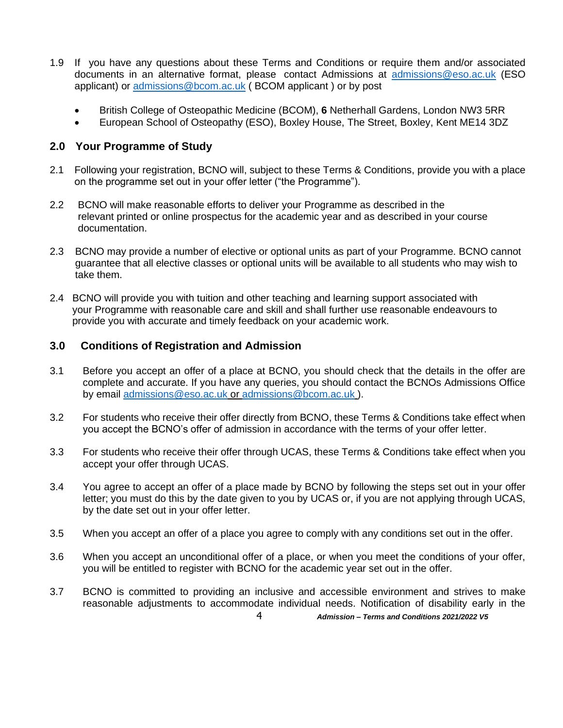- 1.9 If you have any questions about these Terms and Conditions or require them and/or associated documents in an alternative format, please contact Admissions at [admissions@eso.ac.uk](mailto:admissions@eso.ac.uk) (ESO applicant) or [admissions@bcom.ac.uk](mailto:admissions@bcom.ac.uk) ( BCOM applicant ) or by post
	- British College of Osteopathic Medicine (BCOM), **6** Netherhall Gardens, London NW3 5RR
	- European School of Osteopathy (ESO), Boxley House, The Street, Boxley, Kent ME14 3DZ

# **2.0 Your Programme of Study**

- 2.1 Following your registration, BCNO will, subject to these Terms & Conditions, provide you with a place on the programme set out in your offer letter ("the Programme").
- 2.2 BCNO will make reasonable efforts to deliver your Programme as described in the relevant printed or online prospectus for the academic year and as described in your course documentation.
- 2.3 BCNO may provide a number of elective or optional units as part of your Programme. BCNO cannot guarantee that all elective classes or optional units will be available to all students who may wish to take them.
- 2.4 BCNO will provide you with tuition and other teaching and learning support associated with your Programme with reasonable care and skill and shall further use reasonable endeavours to provide you with accurate and timely feedback on your academic work.

## **3.0 Conditions of Registration and Admission**

- 3.1 Before you accept an offer of a place at BCNO, you should check that the details in the offer are complete and accurate. If you have any queries, you should contact the BCNOs Admissions Office by email [admissions@eso.ac.uk](mailto:admissions@eso.ac.uk) or [admissions@bcom.ac.uk](mailto:admissions@bcom.ac.uk) ).
- 3.2 For students who receive their offer directly from BCNO, these Terms & Conditions take effect when you accept the BCNO's offer of admission in accordance with the terms of your offer letter.
- 3.3 For students who receive their offer through UCAS, these Terms & Conditions take effect when you accept your offer through UCAS.
- 3.4 You agree to accept an offer of a place made by BCNO by following the steps set out in your offer letter; you must do this by the date given to you by UCAS or, if you are not applying through UCAS, by the date set out in your offer letter.
- 3.5 When you accept an offer of a place you agree to comply with any conditions set out in the offer.
- 3.6 When you accept an unconditional offer of a place, or when you meet the conditions of your offer, you will be entitled to register with BCNO for the academic year set out in the offer.
- 3.7 BCNO is committed to providing an inclusive and accessible environment and strives to make reasonable adjustments to accommodate individual needs. Notification of disability early in the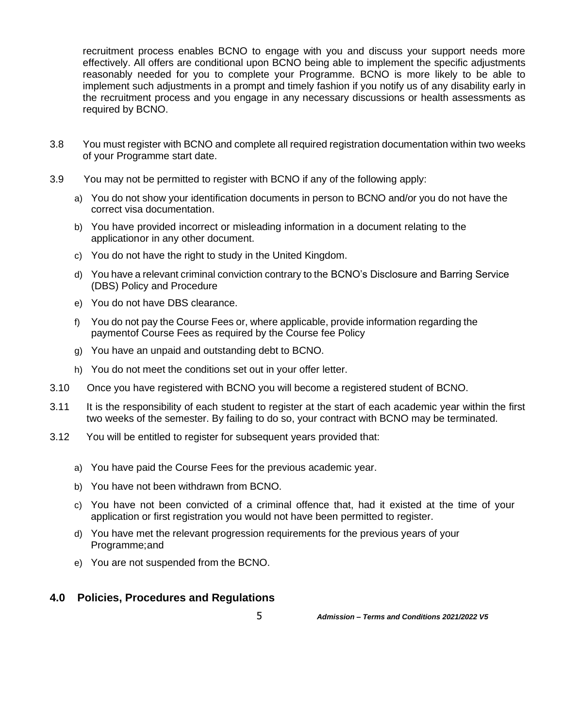recruitment process enables BCNO to engage with you and discuss your support needs more effectively. All offers are conditional upon BCNO being able to implement the specific adjustments reasonably needed for you to complete your Programme. BCNO is more likely to be able to implement such adjustments in a prompt and timely fashion if you notify us of any disability early in the recruitment process and you engage in any necessary discussions or health assessments as required by BCNO.

- 3.8 You must register with BCNO and complete all required registration documentation within two weeks of your Programme start date.
- 3.9 You may not be permitted to register with BCNO if any of the following apply:
	- a) You do not show your identification documents in person to BCNO and/or you do not have the correct visa documentation.
	- b) You have provided incorrect or misleading information in a document relating to the applicationor in any other document.
	- c) You do not have the right to study in the United Kingdom.
	- d) You have a relevant criminal conviction contrary to the BCNO's Disclosure and Barring Service (DBS) Policy and Procedure
	- e) You do not have DBS clearance.
	- f) You do not pay the Course Fees or, where applicable, provide information regarding the paymentof Course Fees as required by the Course fee Policy
	- g) You have an unpaid and outstanding debt to BCNO.
	- h) You do not meet the conditions set out in your offer letter.
- 3.10 Once you have registered with BCNO you will become a registered student of BCNO.
- 3.11 It is the responsibility of each student to register at the start of each academic year within the first two weeks of the semester. By failing to do so, your contract with BCNO may be terminated.
- 3.12 You will be entitled to register for subsequent years provided that:
	- a) You have paid the Course Fees for the previous academic year.
	- b) You have not been withdrawn from BCNO.
	- c) You have not been convicted of a criminal offence that, had it existed at the time of your application or first registration you would not have been permitted to register.
	- d) You have met the relevant progression requirements for the previous years of your Programme;and
	- e) You are not suspended from the BCNO.

## **4.0 Policies, Procedures and Regulations**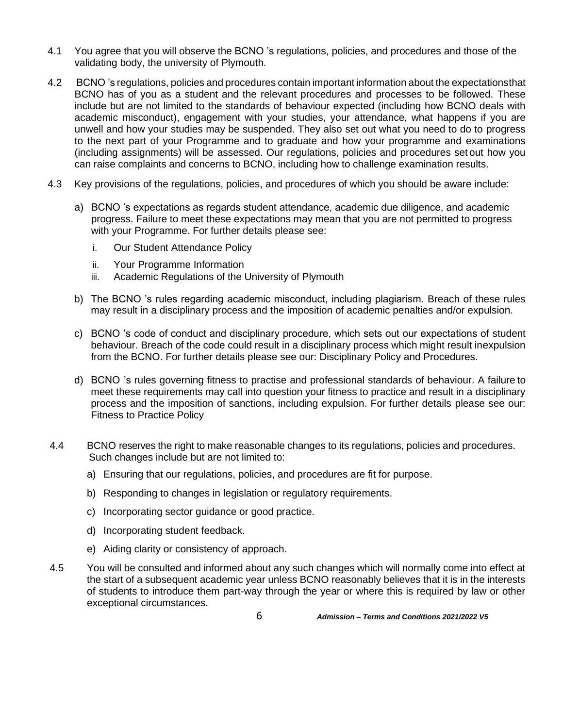- 4.1 You agree that you will observe the BCNO 's regulations, policies, and procedures and those of the validating body, the university of Plymouth.
- 4.2 BCNO 's regulations, policies and procedures contain important information about the expectationsthat BCNO has of you as a student and the relevant procedures and processes to be followed. These include but are not limited to the standards of behaviour expected (including how BCNO deals with academic misconduct), engagement with your studies, your attendance, what happens if you are unwell and how your studies may be suspended. They also set out what you need to do to progress to the next part of your Programme and to graduate and how your programme and examinations (including assignments) will be assessed. Our regulations, policies and procedures set out how you can raise complaints and concerns to BCNO, including how to challenge examination results.
- 4.3 Key provisions of the regulations, policies, and procedures of which you should be aware include:
	- a) BCNO 's expectations as regards student attendance, academic due diligence, and academic progress. Failure to meet these expectations may mean that you are not permitted to progress with your Programme. For further details please see:
		- i. Our Student Attendance Policy
		- ii. Your Programme Information
		- iii. Academic Regulations of the University of Plymouth
	- b) The BCNO 's rules regarding academic misconduct, including plagiarism. Breach of these rules may result in a disciplinary process and the imposition of academic penalties and/or expulsion.
	- c) BCNO 's code of conduct and disciplinary procedure, which sets out our expectations of student behaviour. Breach of the code could result in a disciplinary process which might result inexpulsion from the BCNO. For further details please see our: Disciplinary Policy and Procedures.
	- d) BCNO 's rules governing fitness to practise and professional standards of behaviour. A failure to meet these requirements may call into question your fitness to practice and result in a disciplinary process and the imposition of sanctions, including expulsion. For further details please see our: Fitness to Practice Policy
- 4.4 BCNO reserves the right to make reasonable changes to its regulations, policies and procedures. Such changes include but are not limited to:
	- a) Ensuring that our regulations, policies, and procedures are fit for purpose.
	- b) Responding to changes in legislation or regulatory requirements.
	- c) Incorporating sector guidance or good practice.
	- d) Incorporating student feedback.
	- e) Aiding clarity or consistency of approach.
- 4.5 You will be consulted and informed about any such changes which will normally come into effect at the start of a subsequent academic year unless BCNO reasonably believes that it is in the interests of students to introduce them part-way through the year or where this is required by law or other exceptional circumstances.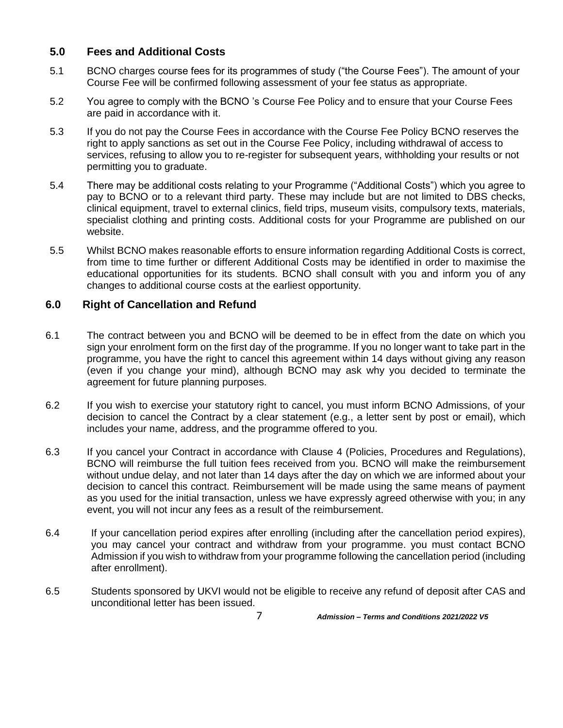## **5.0 Fees and Additional Costs**

- 5.1 BCNO charges course fees for its programmes of study ("the Course Fees"). The amount of your Course Fee will be confirmed following assessment of your fee status as appropriate.
- 5.2 You agree to comply with the BCNO 's Course Fee Policy and to ensure that your Course Fees are paid in accordance with it.
- 5.3 If you do not pay the Course Fees in accordance with the Course Fee Policy BCNO reserves the right to apply sanctions as set out in the Course Fee Policy, including withdrawal of access to services, refusing to allow you to re-register for subsequent years, withholding your results or not permitting you to graduate.
- 5.4 There may be additional costs relating to your Programme ("Additional Costs") which you agree to pay to BCNO or to a relevant third party. These may include but are not limited to DBS checks, clinical equipment, travel to external clinics, field trips, museum visits, compulsory texts, materials, specialist clothing and printing costs. Additional costs for your Programme are published on our website.
- 5.5 Whilst BCNO makes reasonable efforts to ensure information regarding Additional Costs is correct, from time to time further or different Additional Costs may be identified in order to maximise the educational opportunities for its students. BCNO shall consult with you and inform you of any changes to additional course costs at the earliest opportunity.

## **6.0 Right of Cancellation and Refund**

- 6.1 The contract between you and BCNO will be deemed to be in effect from the date on which you sign your enrolment form on the first day of the programme. If you no longer want to take part in the programme, you have the right to cancel this agreement within 14 days without giving any reason (even if you change your mind), although BCNO may ask why you decided to terminate the agreement for future planning purposes.
- 6.2 If you wish to exercise your statutory right to cancel, you must inform BCNO Admissions, of your decision to cancel the Contract by a clear statement (e.g., a letter sent by post or email), which includes your name, address, and the programme offered to you.
- 6.3 If you cancel your Contract in accordance with Clause 4 (Policies, Procedures and Regulations), BCNO will reimburse the full tuition fees received from you. BCNO will make the reimbursement without undue delay, and not later than 14 days after the day on which we are informed about your decision to cancel this contract. Reimbursement will be made using the same means of payment as you used for the initial transaction, unless we have expressly agreed otherwise with you; in any event, you will not incur any fees as a result of the reimbursement.
- 6.4 If your cancellation period expires after enrolling (including after the cancellation period expires), you may cancel your contract and withdraw from your programme. you must contact BCNO Admission if you wish to withdraw from your programme following the cancellation period (including after enrollment).
- 6.5 Students sponsored by UKVI would not be eligible to receive any refund of deposit after CAS and unconditional letter has been issued.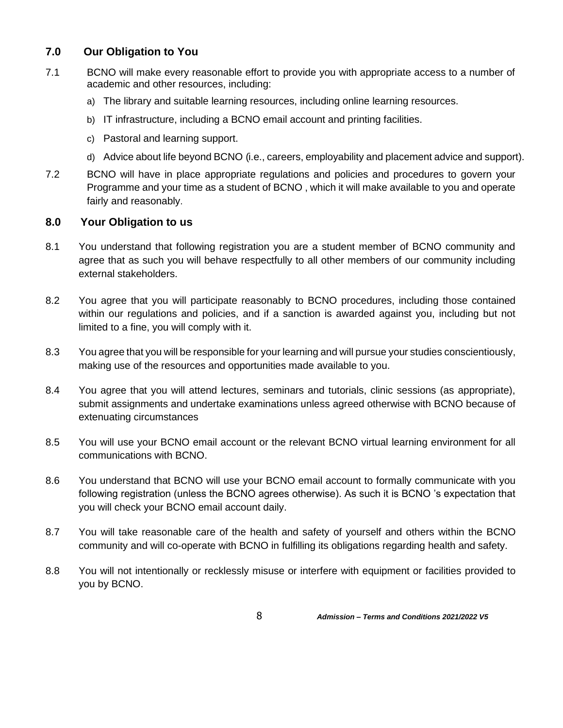# **7.0 Our Obligation to You**

- 7.1 BCNO will make every reasonable effort to provide you with appropriate access to a number of academic and other resources, including:
	- a) The library and suitable learning resources, including online learning resources.
	- b) IT infrastructure, including a BCNO email account and printing facilities.
	- c) Pastoral and learning support.
	- d) Advice about life beyond BCNO (i.e., careers, employability and placement advice and support).
- 7.2 BCNO will have in place appropriate regulations and policies and procedures to govern your Programme and your time as a student of BCNO , which it will make available to you and operate fairly and reasonably.

# **8.0 Your Obligation to us**

- 8.1 You understand that following registration you are a student member of BCNO community and agree that as such you will behave respectfully to all other members of our community including external stakeholders.
- 8.2 You agree that you will participate reasonably to BCNO procedures, including those contained within our regulations and policies, and if a sanction is awarded against you, including but not limited to a fine, you will comply with it.
- 8.3 You agree that you will be responsible for your learning and will pursue your studies conscientiously, making use of the resources and opportunities made available to you.
- 8.4 You agree that you will attend lectures, seminars and tutorials, clinic sessions (as appropriate), submit assignments and undertake examinations unless agreed otherwise with BCNO because of extenuating circumstances
- 8.5 You will use your BCNO email account or the relevant BCNO virtual learning environment for all communications with BCNO.
- 8.6 You understand that BCNO will use your BCNO email account to formally communicate with you following registration (unless the BCNO agrees otherwise). As such it is BCNO 's expectation that you will check your BCNO email account daily.
- 8.7 You will take reasonable care of the health and safety of yourself and others within the BCNO community and will co-operate with BCNO in fulfilling its obligations regarding health and safety.
- 8.8 You will not intentionally or recklessly misuse or interfere with equipment or facilities provided to you by BCNO.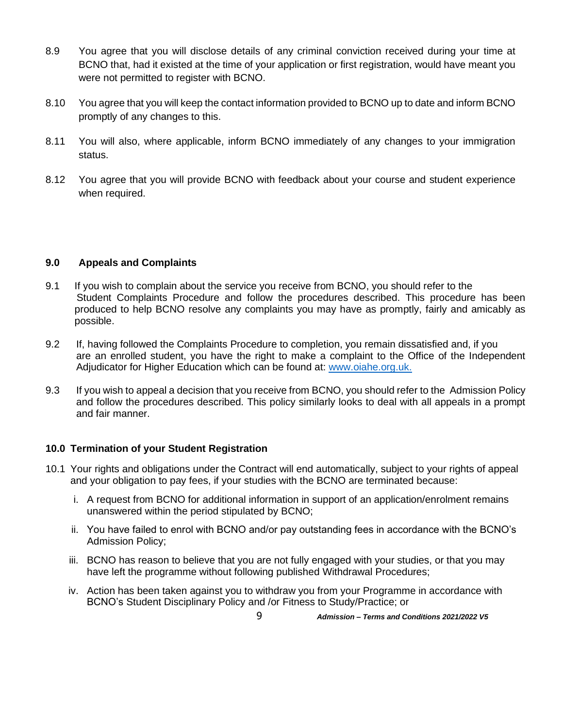- 8.9 You agree that you will disclose details of any criminal conviction received during your time at BCNO that, had it existed at the time of your application or first registration, would have meant you were not permitted to register with BCNO.
- 8.10 You agree that you will keep the contact information provided to BCNO up to date and inform BCNO promptly of any changes to this.
- 8.11 You will also, where applicable, inform BCNO immediately of any changes to your immigration status.
- 8.12 You agree that you will provide BCNO with feedback about your course and student experience when required.

## **9.0 Appeals and Complaints**

- 9.1 If you wish to complain about the service you receive from BCNO, you should refer to the Student Complaints Procedure and follow the procedures described. This procedure has been produced to help BCNO resolve any complaints you may have as promptly, fairly and amicably as possible.
- 9.2 If, having followed the Complaints Procedure to completion, you remain dissatisfied and, if you are an enrolled student, you have the right to make a complaint to the Office of the Independent Adjudicator for Higher Education which can be found at: [www.oiahe.org.uk.](http://www.oiahe.org.uk/)
- 9.3 If you wish to appeal a decision that you receive from BCNO, you should refer to the Admission Policy and follow the procedures described. This policy similarly looks to deal with all appeals in a prompt and fair manner.

#### **10.0 Termination of your Student Registration**

- 10.1 Your rights and obligations under the Contract will end automatically, subject to your rights of appeal and your obligation to pay fees, if your studies with the BCNO are terminated because:
	- i. A request from BCNO for additional information in support of an application/enrolment remains unanswered within the period stipulated by BCNO;
	- ii. You have failed to enrol with BCNO and/or pay outstanding fees in accordance with the BCNO's Admission Policy;
	- iii. BCNO has reason to believe that you are not fully engaged with your studies, or that you may have left the programme without following published Withdrawal Procedures;
	- iv. Action has been taken against you to withdraw you from your Programme in accordance with BCNO's Student Disciplinary Policy and /or Fitness to Study/Practice; or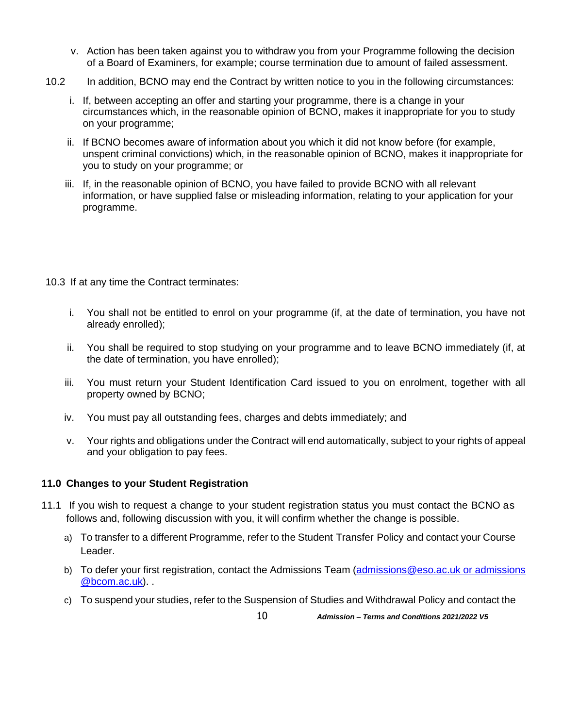- v. Action has been taken against you to withdraw you from your Programme following the decision of a Board of Examiners, for example; course termination due to amount of failed assessment.
- 10.2 In addition, BCNO may end the Contract by written notice to you in the following circumstances:
	- i. If, between accepting an offer and starting your programme, there is a change in your circumstances which, in the reasonable opinion of BCNO, makes it inappropriate for you to study on your programme;
	- ii. If BCNO becomes aware of information about you which it did not know before (for example, unspent criminal convictions) which, in the reasonable opinion of BCNO, makes it inappropriate for you to study on your programme; or
	- iii. If, in the reasonable opinion of BCNO, you have failed to provide BCNO with all relevant information, or have supplied false or misleading information, relating to your application for your programme.

10.3 If at any time the Contract terminates:

- i. You shall not be entitled to enrol on your programme (if, at the date of termination, you have not already enrolled);
- ii. You shall be required to stop studying on your programme and to leave BCNO immediately (if, at the date of termination, you have enrolled);
- iii. You must return your Student Identification Card issued to you on enrolment, together with all property owned by BCNO;
- iv. You must pay all outstanding fees, charges and debts immediately; and
- v. Your rights and obligations under the Contract will end automatically, subject to your rights of appeal and your obligation to pay fees.

## **11.0 Changes to your Student Registration**

- 11.1 If you wish to request a change to your student registration status you must contact the BCNO as follows and, following discussion with you, it will confirm whether the change is possible.
	- a) To transfer to a different Programme, refer to the Student Transfer Policy and contact your Course Leader.
	- b) To defer your first registration, contact the Admissions Team (admissions@eso.ac.uk or admissions [@bcom.ac.uk\)](mailto:admissions@eso.ac.uk%20or%20admissions%20@bcom.ac.uk). .
	- c) To suspend your studies, refer to the Suspension of Studies and Withdrawal Policy and contact the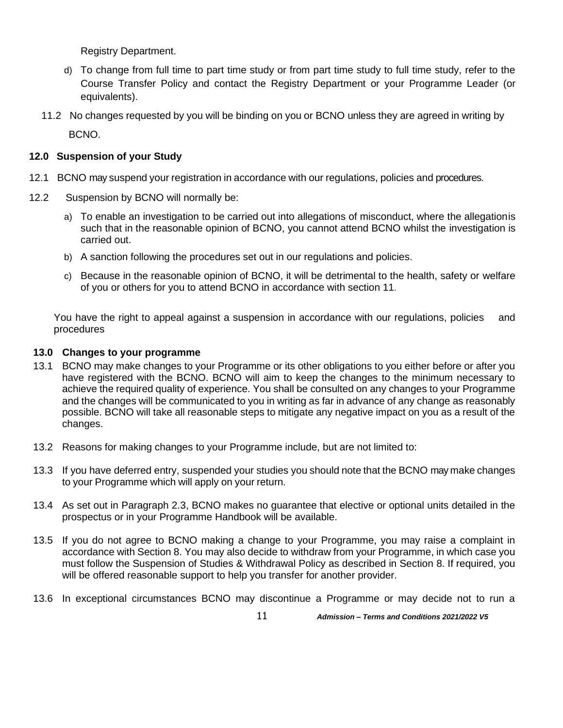Registry Department.

- d) To change from full time to part time study or from part time study to full time study, refer to the Course Transfer Policy and contact the Registry Department or your Programme Leader (or equivalents).
- 11.2 No changes requested by you will be binding on you or BCNO unless they are agreed in writing by

BCNO.

## **12.0 Suspension of your Study**

- 12.1 BCNO may suspend your registration in accordance with our regulations, policies and procedures.
- 12.2 Suspension by BCNO will normally be:
	- a) To enable an investigation to be carried out into allegations of misconduct, where the allegationis such that in the reasonable opinion of BCNO, you cannot attend BCNO whilst the investigation is carried out.
	- b) A sanction following the procedures set out in our regulations and policies.
	- c) Because in the reasonable opinion of BCNO, it will be detrimental to the health, safety or welfare of you or others for you to attend BCNO in accordance with section 11.

You have the right to appeal against a suspension in accordance with our regulations, policies and procedures

## **13.0 Changes to your programme**

- 13.1 BCNO may make changes to your Programme or its other obligations to you either before or after you have registered with the BCNO. BCNO will aim to keep the changes to the minimum necessary to achieve the required quality of experience. You shall be consulted on any changes to your Programme and the changes will be communicated to you in writing as far in advance of any change as reasonably possible. BCNO will take all reasonable steps to mitigate any negative impact on you as a result of the changes.
- 13.2 Reasons for making changes to your Programme include, but are not limited to:
- 13.3 If you have deferred entry, suspended your studies you should note that the BCNO may make changes to your Programme which will apply on your return.
- 13.4 As set out in Paragraph 2.3, BCNO makes no guarantee that elective or optional units detailed in the prospectus or in your Programme Handbook will be available.
- 13.5 If you do not agree to BCNO making a change to your Programme, you may raise a complaint in accordance with Section 8. You may also decide to withdraw from your Programme, in which case you must follow the Suspension of Studies & Withdrawal Policy as described in Section 8. If required, you will be offered reasonable support to help you transfer for another provider.
- 13.6 In exceptional circumstances BCNO may discontinue a Programme or may decide not to run a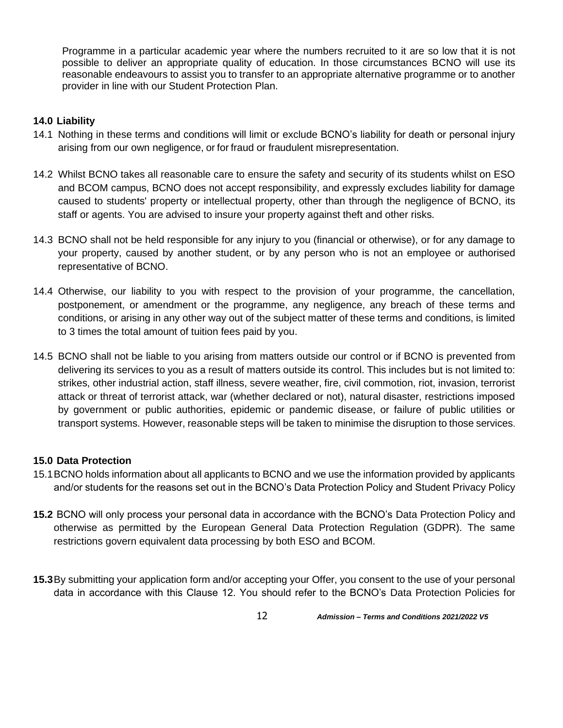Programme in a particular academic year where the numbers recruited to it are so low that it is not possible to deliver an appropriate quality of education. In those circumstances BCNO will use its reasonable endeavours to assist you to transfer to an appropriate alternative programme or to another provider in line with our Student Protection Plan.

## **14.0 Liability**

- 14.1 Nothing in these terms and conditions will limit or exclude BCNO's liability for death or personal injury arising from our own negligence, or for fraud or fraudulent misrepresentation.
- 14.2 Whilst BCNO takes all reasonable care to ensure the safety and security of its students whilst on ESO and BCOM campus, BCNO does not accept responsibility, and expressly excludes liability for damage caused to students' property or intellectual property, other than through the negligence of BCNO, its staff or agents. You are advised to insure your property against theft and other risks.
- 14.3 BCNO shall not be held responsible for any injury to you (financial or otherwise), or for any damage to your property, caused by another student, or by any person who is not an employee or authorised representative of BCNO.
- 14.4 Otherwise, our liability to you with respect to the provision of your programme, the cancellation, postponement, or amendment or the programme, any negligence, any breach of these terms and conditions, or arising in any other way out of the subject matter of these terms and conditions, is limited to 3 times the total amount of tuition fees paid by you.
- 14.5 BCNO shall not be liable to you arising from matters outside our control or if BCNO is prevented from delivering its services to you as a result of matters outside its control. This includes but is not limited to: strikes, other industrial action, staff illness, severe weather, fire, civil commotion, riot, invasion, terrorist attack or threat of terrorist attack, war (whether declared or not), natural disaster, restrictions imposed by government or public authorities, epidemic or pandemic disease, or failure of public utilities or transport systems. However, reasonable steps will be taken to minimise the disruption to those services.

## **15.0 Data Protection**

- 15.1BCNO holds information about all applicants to BCNO and we use the information provided by applicants and/or students for the reasons set out in the BCNO's Data Protection Policy and Student Privacy Policy
- **15.2** BCNO will only process your personal data in accordance with the BCNO's [Data Protection Policy a](http://bucks.ac.uk/about_us/how_we_are_structured/Governance/Regulations/)nd otherwise as permitted by the European General Data Protection Regulation (GDPR). The same restrictions govern equivalent data processing by both ESO and BCOM.
- **15.3**By submitting your application form and/or accepting your Offer, you consent to the use of your personal data in accordance with this Clause 12. You should refer to the BCNO's [Data Protection Policies](http://bucks.ac.uk/about_us/how_we_are_structured/Governance/Regulations/) for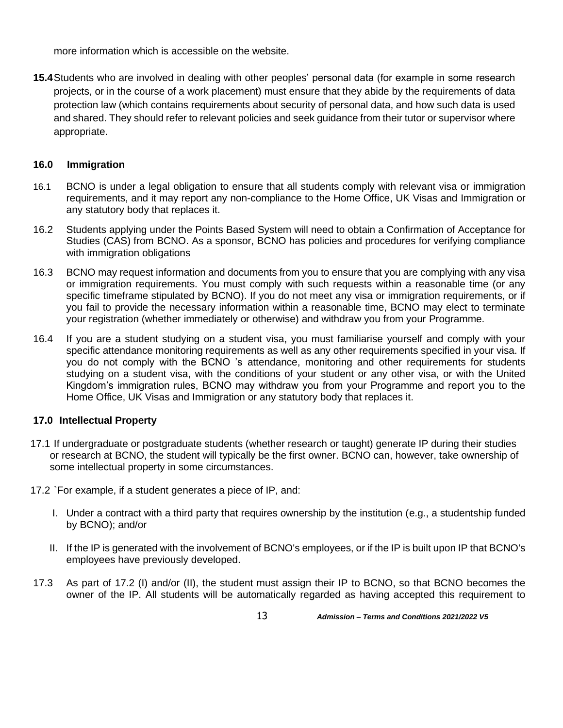more information which is accessible on the website.

**15.4**Students who are involved in dealing with other peoples' personal data (for example in some research projects, or in the course of a work placement) must ensure that they abide by the requirements of data protection law (which contains requirements about security of personal data, and how such data is used and shared. They should refer to relevant policies and seek guidance from their tutor or supervisor where appropriate.

## **16.0 Immigration**

- 16.1 BCNO is under a legal obligation to ensure that all students comply with relevant visa or immigration requirements, and it may report any non-compliance to the Home Office, UK Visas and Immigration or any statutory body that replaces it.
- 16.2 Students applying under the Points Based System will need to obtain a Confirmation of Acceptance for Studies (CAS) from BCNO. As a sponsor, BCNO has policies and procedures for verifying compliance with immigration obligations
- 16.3 BCNO may request information and documents from you to ensure that you are complying with any visa or immigration requirements. You must comply with such requests within a reasonable time (or any specific timeframe stipulated by BCNO). If you do not meet any visa or immigration requirements, or if you fail to provide the necessary information within a reasonable time, BCNO may elect to terminate your registration (whether immediately or otherwise) and withdraw you from your Programme.
- 16.4 If you are a student studying on a student visa, you must familiarise yourself and comply with your specific attendance monitoring requirements as well as any other requirements specified in your visa. If you do not comply with the BCNO 's attendance, monitoring and other requirements for students studying on a student visa, with the conditions of your student or any other visa, or with the United Kingdom's immigration rules, BCNO may withdraw you from your Programme and report you to the Home Office, UK Visas and Immigration or any statutory body that replaces it.

## **17.0 Intellectual Property**

- 17.1 If undergraduate or postgraduate students (whether research or taught) generate IP during their studies or research at BCNO, the student will typically be the first owner. BCNO can, however, take ownership of some intellectual property in some circumstances.
- 17.2 `For example, if a student generates a piece of IP, and:
	- I. Under a contract with a third party that requires ownership by the institution (e.g., a studentship funded by BCNO); and/or
	- II. If the IP is generated with the involvement of BCNO's employees, or if the IP is built upon IP that BCNO's employees have previously developed.
- 17.3 As part of 17.2 (I) and/or (II), the student must assign their IP to BCNO, so that BCNO becomes the owner of the IP. All students will be automatically regarded as having accepted this requirement to